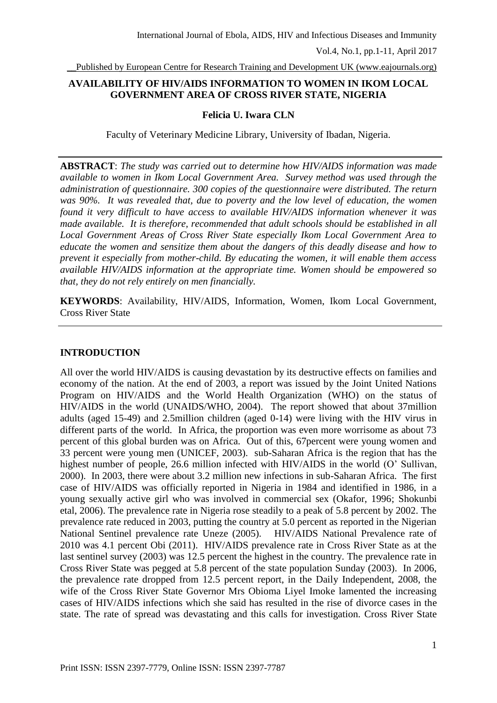\_\_Published by European Centre for Research Training and Development UK (www.eajournals.org)

# **AVAILABILITY OF HIV/AIDS INFORMATION TO WOMEN IN IKOM LOCAL GOVERNMENT AREA OF CROSS RIVER STATE, NIGERIA**

### **Felicia U. Iwara CLN**

Faculty of Veterinary Medicine Library, University of Ibadan, Nigeria.

**ABSTRACT**: *The study was carried out to determine how HIV/AIDS information was made available to women in Ikom Local Government Area. Survey method was used through the administration of questionnaire. 300 copies of the questionnaire were distributed. The return was 90%. It was revealed that, due to poverty and the low level of education, the women found it very difficult to have access to available HIV/AIDS information whenever it was made available. It is therefore, recommended that adult schools should be established in all Local Government Areas of Cross River State especially Ikom Local Government Area to educate the women and sensitize them about the dangers of this deadly disease and how to prevent it especially from mother-child. By educating the women, it will enable them access available HIV/AIDS information at the appropriate time. Women should be empowered so that, they do not rely entirely on men financially.*

**KEYWORDS**: Availability, HIV/AIDS, Information, Women, Ikom Local Government, Cross River State

### **INTRODUCTION**

All over the world HIV/AIDS is causing devastation by its destructive effects on families and economy of the nation. At the end of 2003, a report was issued by the Joint United Nations Program on HIV/AIDS and the World Health Organization (WHO) on the status of HIV/AIDS in the world (UNAIDS/WHO, 2004). The report showed that about 37million adults (aged 15-49) and 2.5million children (aged 0-14) were living with the HIV virus in different parts of the world. In Africa, the proportion was even more worrisome as about 73 percent of this global burden was on Africa. Out of this, 67percent were young women and 33 percent were young men (UNICEF, 2003). sub-Saharan Africa is the region that has the highest number of people, 26.6 million infected with HIV/AIDS in the world (O' Sullivan, 2000). In 2003, there were about 3.2 million new infections in sub-Saharan Africa. The first case of HIV/AIDS was officially reported in Nigeria in 1984 and identified in 1986, in a young sexually active girl who was involved in commercial sex (Okafor, 1996; Shokunbi etal, 2006). The prevalence rate in Nigeria rose steadily to a peak of 5.8 percent by 2002. The prevalence rate reduced in 2003, putting the country at 5.0 percent as reported in the Nigerian National Sentinel prevalence rate Uneze (2005). HIV/AIDS National Prevalence rate of 2010 was 4.1 percent Obi (2011). HIV/AIDS prevalence rate in Cross River State as at the last sentinel survey (2003) was 12.5 percent the highest in the country. The prevalence rate in Cross River State was pegged at 5.8 percent of the state population Sunday (2003). In 2006, the prevalence rate dropped from 12.5 percent report, in the Daily Independent, 2008, the wife of the Cross River State Governor Mrs Obioma Liyel Imoke lamented the increasing cases of HIV/AIDS infections which she said has resulted in the rise of divorce cases in the state. The rate of spread was devastating and this calls for investigation. Cross River State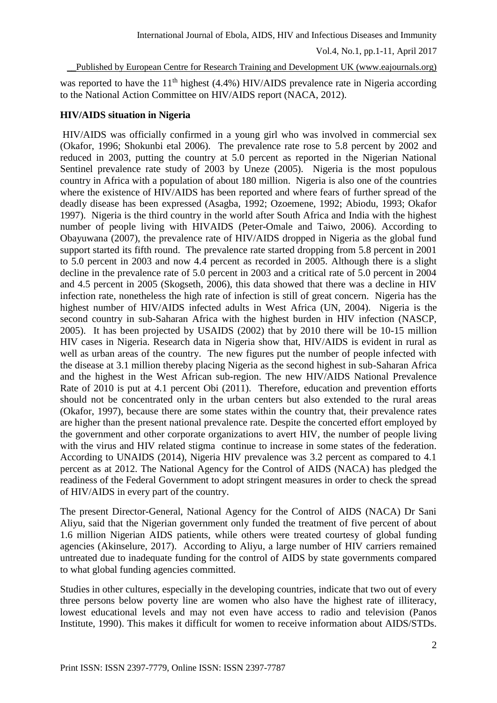#### \_\_Published by European Centre for Research Training and Development UK (www.eajournals.org)

was reported to have the  $11<sup>th</sup>$  highest (4.4%) HIV/AIDS prevalence rate in Nigeria according to the National Action Committee on HIV/AIDS report (NACA, 2012).

#### **HIV/AIDS situation in Nigeria**

HIV/AIDS was officially confirmed in a young girl who was involved in commercial sex (Okafor, 1996; Shokunbi etal 2006). The prevalence rate rose to 5.8 percent by 2002 and reduced in 2003, putting the country at 5.0 percent as reported in the Nigerian National Sentinel prevalence rate study of 2003 by Uneze (2005). Nigeria is the most populous country in Africa with a population of about 180 million. Nigeria is also one of the countries where the existence of HIV/AIDS has been reported and where fears of further spread of the deadly disease has been expressed (Asagba, 1992; Ozoemene, 1992; Abiodu, 1993; Okafor 1997). Nigeria is the third country in the world after South Africa and India with the highest number of people living with HIVAIDS (Peter-Omale and Taiwo, 2006). According to Obayuwana (2007), the prevalence rate of HIV/AIDS dropped in Nigeria as the global fund support started its fifth round. The prevalence rate started dropping from 5.8 percent in 2001 to 5.0 percent in 2003 and now 4.4 percent as recorded in 2005. Although there is a slight decline in the prevalence rate of 5.0 percent in 2003 and a critical rate of 5.0 percent in 2004 and 4.5 percent in 2005 (Skogseth, 2006), this data showed that there was a decline in HIV infection rate, nonetheless the high rate of infection is still of great concern. Nigeria has the highest number of HIV/AIDS infected adults in West Africa (UN, 2004). Nigeria is the second country in sub-Saharan Africa with the highest burden in HIV infection (NASCP, 2005). It has been projected by USAIDS (2002) that by 2010 there will be 10-15 million HIV cases in Nigeria. Research data in Nigeria show that, HIV/AIDS is evident in rural as well as urban areas of the country. The new figures put the number of people infected with the disease at 3.1 million thereby placing Nigeria as the second highest in sub-Saharan Africa and the highest in the West African sub-region. The new HIV/AIDS National Prevalence Rate of 2010 is put at 4.1 percent Obi (2011). Therefore, education and prevention efforts should not be concentrated only in the urban centers but also extended to the rural areas (Okafor, 1997), because there are some states within the country that, their prevalence rates are higher than the present national prevalence rate. Despite the concerted effort employed by the government and other corporate organizations to avert HIV, the number of people living with the virus and HIV related stigma continue to increase in some states of the federation. According to UNAIDS (2014), Nigeria HIV prevalence was 3.2 percent as compared to 4.1 percent as at 2012. The National Agency for the Control of AIDS (NACA) has pledged the readiness of the Federal Government to adopt stringent measures in order to check the spread of HIV/AIDS in every part of the country.

The present Director-General, National Agency for the Control of AIDS (NACA) Dr Sani Aliyu, said that the Nigerian government only funded the treatment of five percent of about 1.6 million Nigerian AIDS patients, while others were treated courtesy of global funding agencies (Akinselure, 2017). According to Aliyu, a large number of HIV carriers remained untreated due to inadequate funding for the control of AIDS by state governments compared to what global funding agencies committed.

Studies in other cultures, especially in the developing countries, indicate that two out of every three persons below poverty line are women who also have the highest rate of illiteracy, lowest educational levels and may not even have access to radio and television (Panos Institute, 1990). This makes it difficult for women to receive information about AIDS/STDs.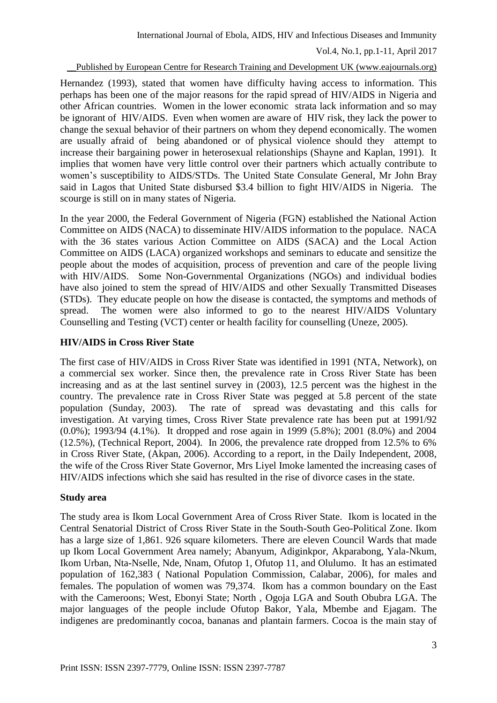### \_\_Published by European Centre for Research Training and Development UK (www.eajournals.org)

Hernandez (1993), stated that women have difficulty having access to information. This perhaps has been one of the major reasons for the rapid spread of HIV/AIDS in Nigeria and other African countries. Women in the lower economic strata lack information and so may be ignorant of HIV/AIDS. Even when women are aware of HIV risk, they lack the power to change the sexual behavior of their partners on whom they depend economically. The women are usually afraid of being abandoned or of physical violence should they attempt to increase their bargaining power in heterosexual relationships (Shayne and Kaplan, 1991). It implies that women have very little control over their partners which actually contribute to women's susceptibility to AIDS/STDs. The United State Consulate General, Mr John Bray said in Lagos that United State disbursed \$3.4 billion to fight HIV/AIDS in Nigeria. The scourge is still on in many states of Nigeria.

In the year 2000, the Federal Government of Nigeria (FGN) established the National Action Committee on AIDS (NACA) to disseminate HIV/AIDS information to the populace. NACA with the 36 states various Action Committee on AIDS (SACA) and the Local Action Committee on AIDS (LACA) organized workshops and seminars to educate and sensitize the people about the modes of acquisition, process of prevention and care of the people living with HIV/AIDS. Some Non-Governmental Organizations (NGOs) and individual bodies have also joined to stem the spread of HIV/AIDS and other Sexually Transmitted Diseases (STDs). They educate people on how the disease is contacted, the symptoms and methods of spread. The women were also informed to go to the nearest HIV/AIDS Voluntary Counselling and Testing (VCT) center or health facility for counselling (Uneze, 2005).

# **HIV/AIDS in Cross River State**

The first case of HIV/AIDS in Cross River State was identified in 1991 (NTA, Network), on a commercial sex worker. Since then, the prevalence rate in Cross River State has been increasing and as at the last sentinel survey in (2003), 12.5 percent was the highest in the country. The prevalence rate in Cross River State was pegged at 5.8 percent of the state population (Sunday, 2003). The rate of spread was devastating and this calls for investigation. At varying times, Cross River State prevalence rate has been put at 1991/92 (0.0%); 1993/94 (4.1%). It dropped and rose again in 1999 (5.8%); 2001 (8.0%) and 2004 (12.5%), (Technical Report, 2004). In 2006, the prevalence rate dropped from 12.5% to 6% in Cross River State, (Akpan, 2006). According to a report, in the Daily Independent, 2008, the wife of the Cross River State Governor, Mrs Liyel Imoke lamented the increasing cases of HIV/AIDS infections which she said has resulted in the rise of divorce cases in the state.

### **Study area**

The study area is Ikom Local Government Area of Cross River State. Ikom is located in the Central Senatorial District of Cross River State in the South-South Geo-Political Zone. Ikom has a large size of 1,861. 926 square kilometers. There are eleven Council Wards that made up Ikom Local Government Area namely; Abanyum, Adiginkpor, Akparabong, Yala-Nkum, Ikom Urban, Nta-Nselle, Nde, Nnam, Ofutop 1, Ofutop 11, and Olulumo. It has an estimated population of 162,383 ( National Population Commission, Calabar, 2006), for males and females. The population of women was 79,374. Ikom has a common boundary on the East with the Cameroons; West, Ebonyi State; North , Ogoja LGA and South Obubra LGA. The major languages of the people include Ofutop Bakor, Yala, Mbembe and Ejagam. The indigenes are predominantly cocoa, bananas and plantain farmers. Cocoa is the main stay of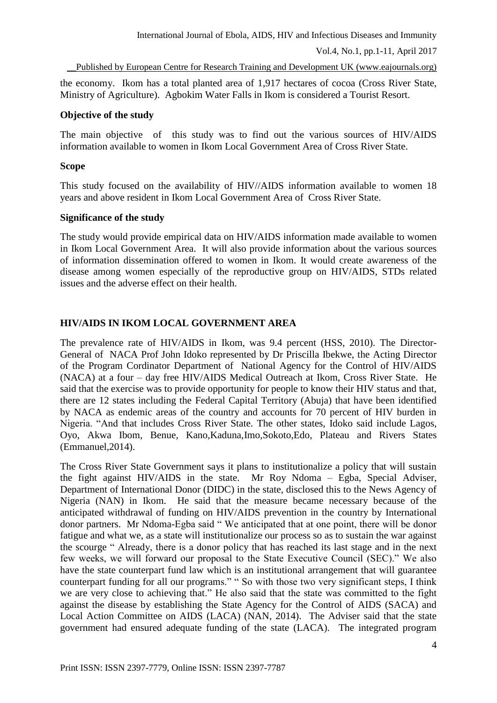the economy. Ikom has a total planted area of 1,917 hectares of cocoa (Cross River State, Ministry of Agriculture). Agbokim Water Falls in Ikom is considered a Tourist Resort.

### **Objective of the study**

The main objective of this study was to find out the various sources of HIV/AIDS information available to women in Ikom Local Government Area of Cross River State.

# **Scope**

This study focused on the availability of HIV//AIDS information available to women 18 years and above resident in Ikom Local Government Area of Cross River State.

# **Significance of the study**

The study would provide empirical data on HIV/AIDS information made available to women in Ikom Local Government Area. It will also provide information about the various sources of information dissemination offered to women in Ikom. It would create awareness of the disease among women especially of the reproductive group on HIV/AIDS, STDs related issues and the adverse effect on their health.

# **HIV/AIDS IN IKOM LOCAL GOVERNMENT AREA**

The prevalence rate of HIV/AIDS in Ikom, was 9.4 percent (HSS, 2010). The Director-General of NACA Prof John Idoko represented by Dr Priscilla Ibekwe, the Acting Director of the Program Cordinator Department of National Agency for the Control of HIV/AIDS (NACA) at a four – day free HIV/AIDS Medical Outreach at Ikom, Cross River State. He said that the exercise was to provide opportunity for people to know their HIV status and that, there are 12 states including the Federal Capital Territory (Abuja) that have been identified by NACA as endemic areas of the country and accounts for 70 percent of HIV burden in Nigeria. "And that includes Cross River State. The other states, Idoko said include Lagos, Oyo, Akwa Ibom, Benue, Kano,Kaduna,Imo,Sokoto,Edo, Plateau and Rivers States (Emmanuel,2014).

The Cross River State Government says it plans to institutionalize a policy that will sustain the fight against HIV/AIDS in the state. Mr Roy Ndoma – Egba, Special Adviser, Department of International Donor (DIDC) in the state, disclosed this to the News Agency of Nigeria (NAN) in Ikom. He said that the measure became necessary because of the anticipated withdrawal of funding on HIV/AIDS prevention in the country by International donor partners. Mr Ndoma-Egba said " We anticipated that at one point, there will be donor fatigue and what we, as a state will institutionalize our process so as to sustain the war against the scourge " Already, there is a donor policy that has reached its last stage and in the next few weeks, we will forward our proposal to the State Executive Council (SEC)." We also have the state counterpart fund law which is an institutional arrangement that will guarantee counterpart funding for all our programs." " So with those two very significant steps, I think we are very close to achieving that." He also said that the state was committed to the fight against the disease by establishing the State Agency for the Control of AIDS (SACA) and Local Action Committee on AIDS (LACA) (NAN, 2014). The Adviser said that the state government had ensured adequate funding of the state (LACA). The integrated program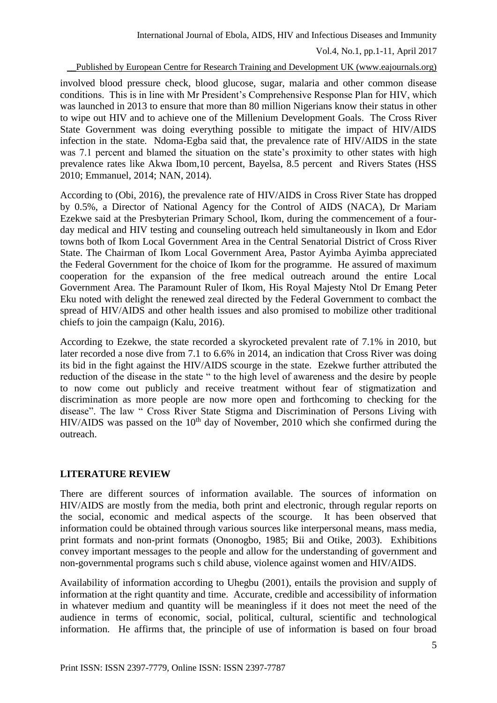\_\_Published by European Centre for Research Training and Development UK (www.eajournals.org)

involved blood pressure check, blood glucose, sugar, malaria and other common disease conditions. This is in line with Mr President's Comprehensive Response Plan for HIV, which was launched in 2013 to ensure that more than 80 million Nigerians know their status in other to wipe out HIV and to achieve one of the Millenium Development Goals. The Cross River State Government was doing everything possible to mitigate the impact of HIV/AIDS infection in the state. Ndoma-Egba said that, the prevalence rate of HIV/AIDS in the state was 7.1 percent and blamed the situation on the state's proximity to other states with high prevalence rates like Akwa Ibom,10 percent, Bayelsa, 8.5 percent and Rivers States (HSS 2010; Emmanuel, 2014; NAN, 2014).

According to (Obi, 2016), the prevalence rate of HIV/AIDS in Cross River State has dropped by 0.5%, a Director of National Agency for the Control of AIDS (NACA), Dr Mariam Ezekwe said at the Presbyterian Primary School, Ikom, during the commencement of a fourday medical and HIV testing and counseling outreach held simultaneously in Ikom and Edor towns both of Ikom Local Government Area in the Central Senatorial District of Cross River State. The Chairman of Ikom Local Government Area, Pastor Ayimba Ayimba appreciated the Federal Government for the choice of Ikom for the programme. He assured of maximum cooperation for the expansion of the free medical outreach around the entire Local Government Area. The Paramount Ruler of Ikom, His Royal Majesty Ntol Dr Emang Peter Eku noted with delight the renewed zeal directed by the Federal Government to combact the spread of HIV/AIDS and other health issues and also promised to mobilize other traditional chiefs to join the campaign (Kalu, 2016).

According to Ezekwe, the state recorded a skyrocketed prevalent rate of 7.1% in 2010, but later recorded a nose dive from 7.1 to 6.6% in 2014, an indication that Cross River was doing its bid in the fight against the HIV/AIDS scourge in the state. Ezekwe further attributed the reduction of the disease in the state " to the high level of awareness and the desire by people to now come out publicly and receive treatment without fear of stigmatization and discrimination as more people are now more open and forthcoming to checking for the disease". The law " Cross River State Stigma and Discrimination of Persons Living with HIV/AIDS was passed on the  $10<sup>th</sup>$  day of November, 2010 which she confirmed during the outreach.

# **LITERATURE REVIEW**

There are different sources of information available. The sources of information on HIV/AIDS are mostly from the media, both print and electronic, through regular reports on the social, economic and medical aspects of the scourge. It has been observed that information could be obtained through various sources like interpersonal means, mass media, print formats and non-print formats (Ononogbo, 1985; Bii and Otike, 2003). Exhibitions convey important messages to the people and allow for the understanding of government and non-governmental programs such s child abuse, violence against women and HIV/AIDS.

Availability of information according to Uhegbu (2001), entails the provision and supply of information at the right quantity and time. Accurate, credible and accessibility of information in whatever medium and quantity will be meaningless if it does not meet the need of the audience in terms of economic, social, political, cultural, scientific and technological information. He affirms that, the principle of use of information is based on four broad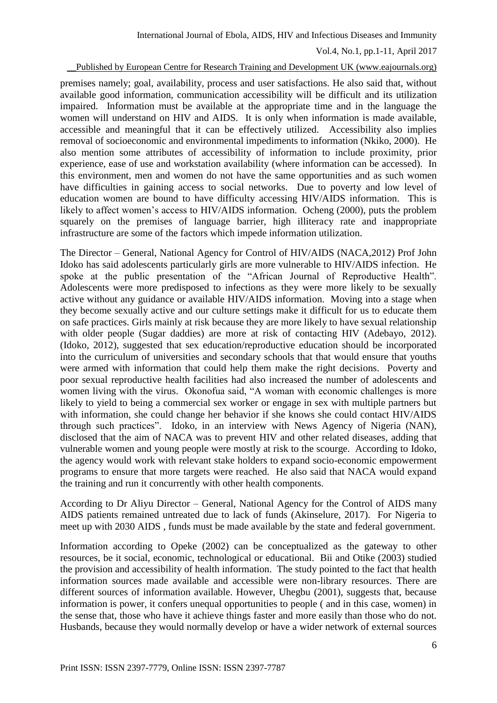#### \_\_Published by European Centre for Research Training and Development UK (www.eajournals.org)

premises namely; goal, availability, process and user satisfactions. He also said that, without available good information, communication accessibility will be difficult and its utilization impaired. Information must be available at the appropriate time and in the language the women will understand on HIV and AIDS. It is only when information is made available, accessible and meaningful that it can be effectively utilized. Accessibility also implies removal of socioeconomic and environmental impediments to information (Nkiko, 2000). He also mention some attributes of accessibility of information to include proximity, prior experience, ease of use and workstation availability (where information can be accessed). In this environment, men and women do not have the same opportunities and as such women have difficulties in gaining access to social networks. Due to poverty and low level of education women are bound to have difficulty accessing HIV/AIDS information. This is likely to affect women's access to HIV/AIDS information. Ocheng (2000), puts the problem squarely on the premises of language barrier, high illiteracy rate and inappropriate infrastructure are some of the factors which impede information utilization.

The Director – General, National Agency for Control of HIV/AIDS (NACA,2012) Prof John Idoko has said adolescents particularly girls are more vulnerable to HIV/AIDS infection. He spoke at the public presentation of the "African Journal of Reproductive Health". Adolescents were more predisposed to infections as they were more likely to be sexually active without any guidance or available HIV/AIDS information. Moving into a stage when they become sexually active and our culture settings make it difficult for us to educate them on safe practices. Girls mainly at risk because they are more likely to have sexual relationship with older people (Sugar daddies) are more at risk of contacting HIV (Adebayo, 2012). (Idoko, 2012), suggested that sex education/reproductive education should be incorporated into the curriculum of universities and secondary schools that that would ensure that youths were armed with information that could help them make the right decisions. Poverty and poor sexual reproductive health facilities had also increased the number of adolescents and women living with the virus. Okonofua said, "A woman with economic challenges is more likely to yield to being a commercial sex worker or engage in sex with multiple partners but with information, she could change her behavior if she knows she could contact HIV/AIDS through such practices". Idoko, in an interview with News Agency of Nigeria (NAN), disclosed that the aim of NACA was to prevent HIV and other related diseases, adding that vulnerable women and young people were mostly at risk to the scourge. According to Idoko, the agency would work with relevant stake holders to expand socio-economic empowerment programs to ensure that more targets were reached. He also said that NACA would expand the training and run it concurrently with other health components.

According to Dr Aliyu Director – General, National Agency for the Control of AIDS many AIDS patients remained untreated due to lack of funds (Akinselure, 2017). For Nigeria to meet up with 2030 AIDS , funds must be made available by the state and federal government.

Information according to Opeke (2002) can be conceptualized as the gateway to other resources, be it social, economic, technological or educational. Bii and Otike (2003) studied the provision and accessibility of health information. The study pointed to the fact that health information sources made available and accessible were non-library resources. There are different sources of information available. However, Uhegbu (2001), suggests that, because information is power, it confers unequal opportunities to people ( and in this case, women) in the sense that, those who have it achieve things faster and more easily than those who do not. Husbands, because they would normally develop or have a wider network of external sources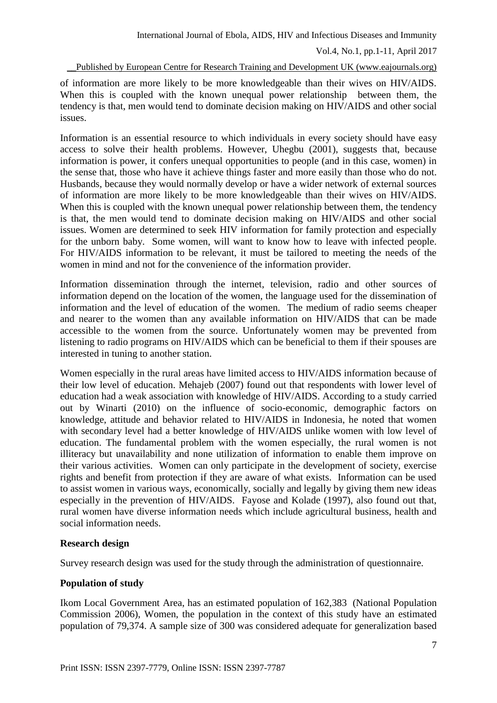\_\_Published by European Centre for Research Training and Development UK (www.eajournals.org)

of information are more likely to be more knowledgeable than their wives on HIV/AIDS. When this is coupled with the known unequal power relationship between them, the tendency is that, men would tend to dominate decision making on HIV/AIDS and other social issues.

Information is an essential resource to which individuals in every society should have easy access to solve their health problems. However, Uhegbu (2001), suggests that, because information is power, it confers unequal opportunities to people (and in this case, women) in the sense that, those who have it achieve things faster and more easily than those who do not. Husbands, because they would normally develop or have a wider network of external sources of information are more likely to be more knowledgeable than their wives on HIV/AIDS. When this is coupled with the known unequal power relationship between them, the tendency is that, the men would tend to dominate decision making on HIV/AIDS and other social issues. Women are determined to seek HIV information for family protection and especially for the unborn baby. Some women, will want to know how to leave with infected people. For HIV/AIDS information to be relevant, it must be tailored to meeting the needs of the women in mind and not for the convenience of the information provider.

Information dissemination through the internet, television, radio and other sources of information depend on the location of the women, the language used for the dissemination of information and the level of education of the women. The medium of radio seems cheaper and nearer to the women than any available information on HIV/AIDS that can be made accessible to the women from the source. Unfortunately women may be prevented from listening to radio programs on HIV/AIDS which can be beneficial to them if their spouses are interested in tuning to another station.

Women especially in the rural areas have limited access to HIV/AIDS information because of their low level of education. Mehajeb (2007) found out that respondents with lower level of education had a weak association with knowledge of HIV/AIDS. According to a study carried out by Winarti (2010) on the influence of socio-economic, demographic factors on knowledge, attitude and behavior related to HIV/AIDS in Indonesia, he noted that women with secondary level had a better knowledge of HIV/AIDS unlike women with low level of education. The fundamental problem with the women especially, the rural women is not illiteracy but unavailability and none utilization of information to enable them improve on their various activities. Women can only participate in the development of society, exercise rights and benefit from protection if they are aware of what exists. Information can be used to assist women in various ways, economically, socially and legally by giving them new ideas especially in the prevention of HIV/AIDS. Fayose and Kolade (1997), also found out that, rural women have diverse information needs which include agricultural business, health and social information needs.

### **Research design**

Survey research design was used for the study through the administration of questionnaire.

# **Population of study**

Ikom Local Government Area, has an estimated population of 162,383 (National Population Commission 2006), Women, the population in the context of this study have an estimated population of 79,374. A sample size of 300 was considered adequate for generalization based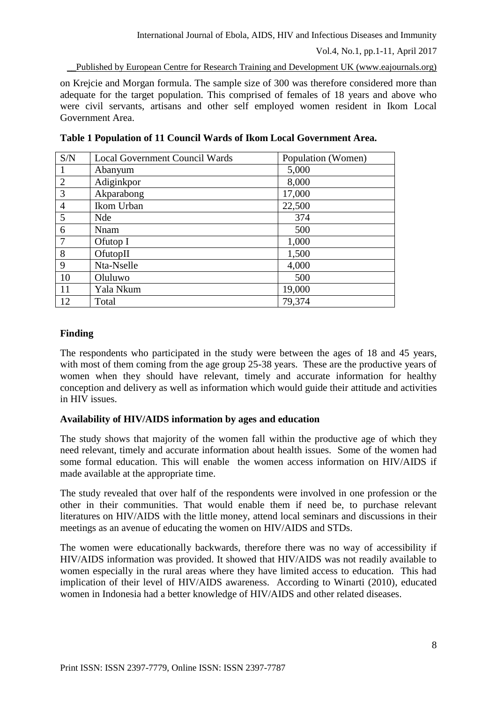on Krejcie and Morgan formula. The sample size of 300 was therefore considered more than adequate for the target population. This comprised of females of 18 years and above who were civil servants, artisans and other self employed women resident in Ikom Local Government Area.

| S/N            | <b>Local Government Council Wards</b> | Population (Women) |
|----------------|---------------------------------------|--------------------|
|                | Abanyum                               | 5,000              |
| 2              | Adiginkpor                            | 8,000              |
| 3              | Akparabong                            | 17,000             |
| $\overline{4}$ | Ikom Urban                            | 22,500             |
| 5              | <b>Nde</b>                            | 374                |
| 6              | Nnam                                  | 500                |
| $\overline{7}$ | Ofutop I                              | 1,000              |
| 8              | O <sub>fttop</sub>                    | 1,500              |
| 9              | Nta-Nselle                            | 4,000              |
| 10             | Oluluwo                               | 500                |
| 11             | Yala Nkum                             | 19,000             |
| 12             | Total                                 | 79,374             |

**Table 1 Population of 11 Council Wards of Ikom Local Government Area.**

# **Finding**

The respondents who participated in the study were between the ages of 18 and 45 years, with most of them coming from the age group 25-38 years. These are the productive years of women when they should have relevant, timely and accurate information for healthy conception and delivery as well as information which would guide their attitude and activities in HIV issues.

# **Availability of HIV/AIDS information by ages and education**

The study shows that majority of the women fall within the productive age of which they need relevant, timely and accurate information about health issues. Some of the women had some formal education. This will enable the women access information on HIV/AIDS if made available at the appropriate time.

The study revealed that over half of the respondents were involved in one profession or the other in their communities. That would enable them if need be, to purchase relevant literatures on HIV/AIDS with the little money, attend local seminars and discussions in their meetings as an avenue of educating the women on HIV/AIDS and STDs.

The women were educationally backwards, therefore there was no way of accessibility if HIV/AIDS information was provided. It showed that HIV/AIDS was not readily available to women especially in the rural areas where they have limited access to education. This had implication of their level of HIV/AIDS awareness. According to Winarti (2010), educated women in Indonesia had a better knowledge of HIV/AIDS and other related diseases.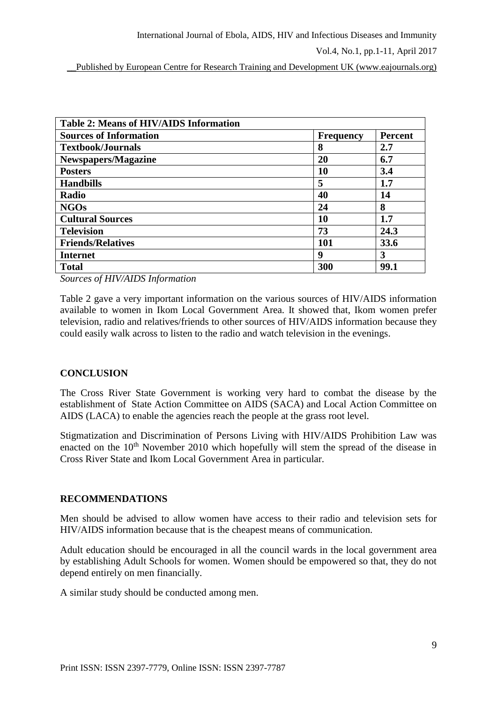\_\_Published by European Centre for Research Training and Development UK (www.eajournals.org)

| <b>Table 2: Means of HIV/AIDS Information</b> |                  |                |  |  |
|-----------------------------------------------|------------------|----------------|--|--|
| <b>Sources of Information</b>                 | <b>Frequency</b> | <b>Percent</b> |  |  |
| <b>Textbook/Journals</b>                      | 8                | 2.7            |  |  |
| <b>Newspapers/Magazine</b>                    | 20               | 6.7            |  |  |
| <b>Posters</b>                                | 10               | 3.4            |  |  |
| <b>Handbills</b>                              | 5                | 1.7            |  |  |
| Radio                                         | 40               | 14             |  |  |
| <b>NGOs</b>                                   | 24               | 8              |  |  |
| <b>Cultural Sources</b>                       | 10               | 1.7            |  |  |
| <b>Television</b>                             | 73               | 24.3           |  |  |
| <b>Friends/Relatives</b>                      | 101              | 33.6           |  |  |
| <b>Internet</b>                               | 9                | 3              |  |  |
| <b>Total</b>                                  | 300              | 99.1           |  |  |

*Sources of HIV/AIDS Information*

Table 2 gave a very important information on the various sources of HIV/AIDS information available to women in Ikom Local Government Area. It showed that, Ikom women prefer television, radio and relatives/friends to other sources of HIV/AIDS information because they could easily walk across to listen to the radio and watch television in the evenings.

### **CONCLUSION**

The Cross River State Government is working very hard to combat the disease by the establishment of State Action Committee on AIDS (SACA) and Local Action Committee on AIDS (LACA) to enable the agencies reach the people at the grass root level.

Stigmatization and Discrimination of Persons Living with HIV/AIDS Prohibition Law was enacted on the  $10<sup>th</sup>$  November 2010 which hopefully will stem the spread of the disease in Cross River State and Ikom Local Government Area in particular.

### **RECOMMENDATIONS**

Men should be advised to allow women have access to their radio and television sets for HIV/AIDS information because that is the cheapest means of communication.

Adult education should be encouraged in all the council wards in the local government area by establishing Adult Schools for women. Women should be empowered so that, they do not depend entirely on men financially.

A similar study should be conducted among men.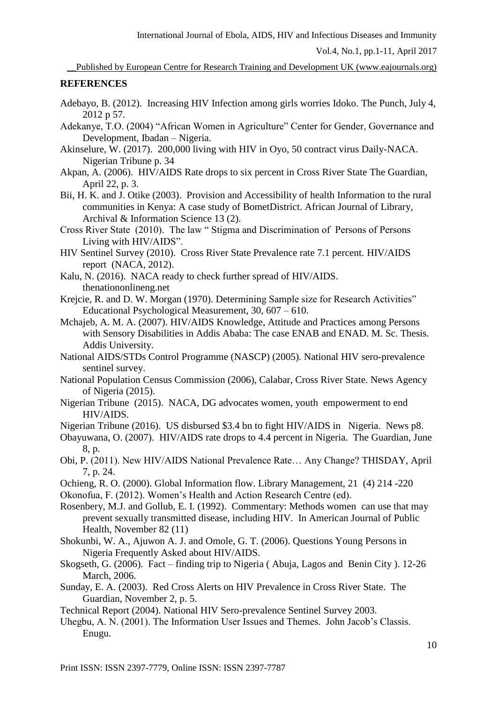### **REFERENCES**

- Adebayo, B. (2012). Increasing HIV Infection among girls worries Idoko. The Punch, July 4, 2012 p 57.
- Adekanye, T.O. (2004) "African Women in Agriculture" Center for Gender, Governance and Development, Ibadan – Nigeria.
- Akinselure, W. (2017). 200,000 living with HIV in Oyo, 50 contract virus Daily-NACA. Nigerian Tribune p. 34
- Akpan, A. (2006). HIV/AIDS Rate drops to six percent in Cross River State The Guardian, April 22, p. 3.
- Bii, H. K. and J. Otike (2003). Provision and Accessibility of health Information to the rural communities in Kenya: A case study of BometDistrict. African Journal of Library, Archival & Information Science 13 (2).
- Cross River State (2010). The law " Stigma and Discrimination of Persons of Persons Living with HIV/AIDS".
- HIV Sentinel Survey (2010). Cross River State Prevalence rate 7.1 percent. HIV/AIDS report (NACA, 2012).
- Kalu, N. (2016). NACA ready to check further spread of HIV/AIDS. thenationonlineng.net
- Krejcie, R. and D. W. Morgan (1970). Determining Sample size for Research Activities" Educational Psychological Measurement, 30, 607 – 610.
- Mchajeb, A. M. A. (2007). HIV/AIDS Knowledge, Attitude and Practices among Persons with Sensory Disabilities in Addis Ababa: The case ENAB and ENAD. M. Sc. Thesis. Addis University.
- National AIDS/STDs Control Programme (NASCP) (2005). National HIV sero-prevalence sentinel survey.
- National Population Census Commission (2006), Calabar, Cross River State. News Agency of Nigeria (2015).
- Nigerian Tribune (2015). NACA, DG advocates women, youth empowerment to end HIV/AIDS.
- Nigerian Tribune (2016). US disbursed \$3.4 bn to fight HIV/AIDS in Nigeria. News p8.
- Obayuwana, O. (2007). HIV/AIDS rate drops to 4.4 percent in Nigeria. The Guardian, June 8, p.
- Obi, P. (2011). New HIV/AIDS National Prevalence Rate… Any Change? THISDAY, April 7, p. 24.
- Ochieng, R. O. (2000). Global Information flow. Library Management, 21 (4) 214 -220
- Okonofua, F. (2012). Women's Health and Action Research Centre (ed).
- Rosenbery, M.J. and Gollub, E. I. (1992). Commentary: Methods women can use that may prevent sexually transmitted disease, including HIV. In American Journal of Public Health, November 82 (11)
- Shokunbi, W. A., Ajuwon A. J. and Omole, G. T. (2006). Questions Young Persons in Nigeria Frequently Asked about HIV/AIDS.
- Skogseth, G. (2006). Fact finding trip to Nigeria ( Abuja, Lagos and Benin City ). 12-26 March, 2006.
- Sunday, E. A. (2003). Red Cross Alerts on HIV Prevalence in Cross River State. The Guardian, November 2, p. 5.
- Technical Report (2004). National HIV Sero-prevalence Sentinel Survey 2003.
- Uhegbu, A. N. (2001). The Information User Issues and Themes. John Jacob's Classis. Enugu.